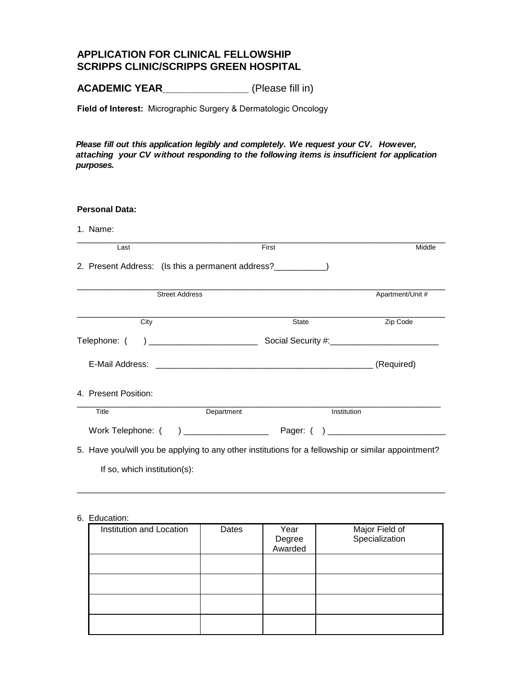## **APPLICATION FOR CLINICAL FELLOWSHIP SCRIPPS CLINIC/SCRIPPS GREEN HOSPITAL**

**ACADEMIC YEAR\_\_\_\_\_\_\_\_\_\_\_\_\_\_\_** (Please fill in)

**Field of Interest:** Micrographic Surgery & Dermatologic Oncology

*Please fill out this application legibly and completely. We request your CV. However, attaching your CV without responding to the following items is insufficient for application purposes.*

| <b>Personal Data:</b>        |                                                                                                                                                                                                                                                                                                                                                                     |              |                  |
|------------------------------|---------------------------------------------------------------------------------------------------------------------------------------------------------------------------------------------------------------------------------------------------------------------------------------------------------------------------------------------------------------------|--------------|------------------|
| 1. Name:                     |                                                                                                                                                                                                                                                                                                                                                                     |              |                  |
| Last                         |                                                                                                                                                                                                                                                                                                                                                                     | First        | Middle           |
|                              | 2. Present Address: (Is this a permanent address?                                                                                                                                                                                                                                                                                                                   |              |                  |
|                              | <b>Street Address</b>                                                                                                                                                                                                                                                                                                                                               |              | Apartment/Unit # |
| City                         |                                                                                                                                                                                                                                                                                                                                                                     | <b>State</b> | Zip Code         |
| Telephone: (                 | $\begin{picture}(20,10) \put(0,0){\vector(1,0){100}} \put(15,0){\vector(1,0){100}} \put(15,0){\vector(1,0){100}} \put(15,0){\vector(1,0){100}} \put(15,0){\vector(1,0){100}} \put(15,0){\vector(1,0){100}} \put(15,0){\vector(1,0){100}} \put(15,0){\vector(1,0){100}} \put(15,0){\vector(1,0){100}} \put(15,0){\vector(1,0){100}} \put(15,0){\vector(1,0){100}} \$ |              |                  |
|                              |                                                                                                                                                                                                                                                                                                                                                                     |              | (Required)       |
| 4. Present Position:         |                                                                                                                                                                                                                                                                                                                                                                     |              |                  |
| Title                        | Department                                                                                                                                                                                                                                                                                                                                                          | Institution  |                  |
|                              |                                                                                                                                                                                                                                                                                                                                                                     |              |                  |
|                              | 5. Have you/will you be applying to any other institutions for a fellowship or similar appointment?                                                                                                                                                                                                                                                                 |              |                  |
| If so, which institution(s): |                                                                                                                                                                                                                                                                                                                                                                     |              |                  |

## 6. Education:

| Institution and Location | Dates | Year<br>Degree<br>Awarded | Major Field of<br>Specialization |
|--------------------------|-------|---------------------------|----------------------------------|
|                          |       |                           |                                  |
|                          |       |                           |                                  |
|                          |       |                           |                                  |
|                          |       |                           |                                  |

\_\_\_\_\_\_\_\_\_\_\_\_\_\_\_\_\_\_\_\_\_\_\_\_\_\_\_\_\_\_\_\_\_\_\_\_\_\_\_\_\_\_\_\_\_\_\_\_\_\_\_\_\_\_\_\_\_\_\_\_\_\_\_\_\_\_\_\_\_\_\_\_\_\_\_\_\_\_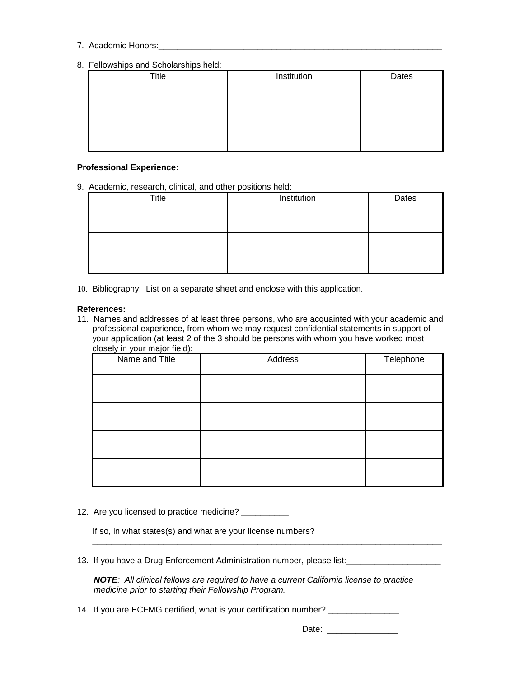- 7. Academic Honors:
- 8. Fellowships and Scholarships held:

| Title | Institution | Dates |
|-------|-------------|-------|
|       |             |       |
|       |             |       |
|       |             |       |

## **Professional Experience:**

9. Academic, research, clinical, and other positions held:

| Title | Institution | Dates |
|-------|-------------|-------|
|       |             |       |
|       |             |       |
|       |             |       |

10. Bibliography: List on a separate sheet and enclose with this application.

## **References:**

11. Names and addresses of at least three persons, who are acquainted with your academic and professional experience, from whom we may request confidential statements in support of your application (at least 2 of the 3 should be persons with whom you have worked most closely in your major field):

| Name and Title | Address | Telephone |
|----------------|---------|-----------|
|                |         |           |
|                |         |           |
|                |         |           |
|                |         |           |
|                |         |           |
|                |         |           |
|                |         |           |
|                |         |           |

12. Are you licensed to practice medicine? \_\_\_\_\_\_\_\_\_\_

If so, in what states(s) and what are your license numbers?

13. If you have a Drug Enforcement Administration number, please list:<br>

*NOTE: All clinical fellows are required to have a current California license to practice medicine prior to starting their Fellowship Program.*

\_\_\_\_\_\_\_\_\_\_\_\_\_\_\_\_\_\_\_\_\_\_\_\_\_\_\_\_\_\_\_\_\_\_\_\_\_\_\_\_\_\_\_\_\_\_\_\_\_\_\_\_\_\_\_\_\_\_\_\_\_\_\_\_\_\_\_\_\_\_\_\_\_\_

14. If you are ECFMG certified, what is your certification number? \_\_\_\_\_\_\_\_\_\_\_\_\_

Date: \_\_\_\_\_\_\_\_\_\_\_\_\_\_\_